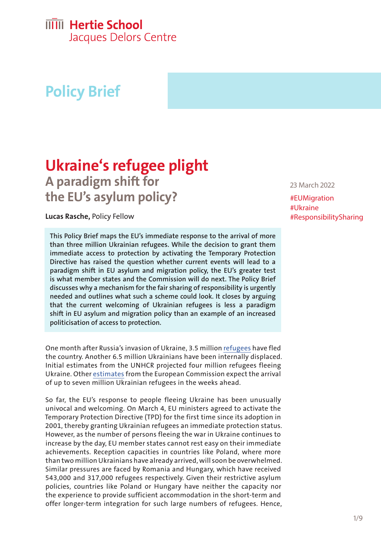# **IIIII** Hertie School

Jacques Delors Centre

# **Policy Brief**

## **Ukraine's refugee plight A paradigm shift for the EU's asylum policy?**

**Lucas Rasche,** Policy Fellow

**This Policy Brief maps the EU's immediate response to the arrival of more than three million Ukrainian refugees. While the decision to grant them immediate access to protection by activating the Temporary Protection Directive has raised the question whether current events will lead to a paradigm shift in EU asylum and migration policy, the EU's greater test is what member states and the Commission will do next. The Policy Brief discusses why a mechanism for the fair sharing of responsibility is urgently needed and outlines what such a scheme could look. It closes by arguing that the current welcoming of Ukrainian refugees is less a paradigm shift in EU asylum and migration policy than an example of an increased politicisation of access to protection.**

One month after Russia's invasion of Ukraine, 3.5 million [refugees](https://data2.unhcr.org/en/documents/details/91448) have fled the country. Another 6.5 million Ukrainians have been internally displaced. Initial estimates from the UNHCR projected four million refugees fleeing Ukraine. Other [estimates](https://www.reuters.com/world/europe/eu-says-expects-more-than-7-million-displaced-ukrainians-2022-02-27/) from the European Commission expect the arrival of up to seven million Ukrainian refugees in the weeks ahead.

So far, the EU's response to people fleeing Ukraine has been unusually univocal and welcoming. On March 4, EU ministers agreed to activate the Temporary Protection Directive (TPD) for the first time since its adoption in 2001, thereby granting Ukrainian refugees an immediate protection status. However, as the number of persons fleeing the war in Ukraine continues to increase by the day, EU member states cannot rest easy on their immediate achievements. Reception capacities in countries like Poland, where more than two million Ukrainians have already arrived, will soon be overwhelmed. Similar pressures are faced by Romania and Hungary, which have received 543,000 and 317,000 refugees respectively. Given their restrictive asylum policies, countries like Poland or Hungary have neither the capacity nor the experience to provide sufficient accommodation in the short-term and offer longer-term integration for such large numbers of refugees. Hence,

#### 23 March 2022

#EUMigration #Ukraine #ResponsibilitySharing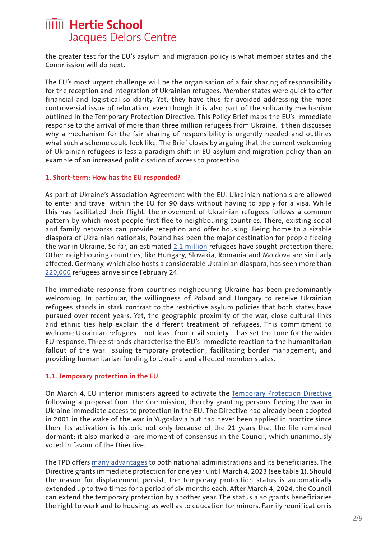the greater test for the EU's asylum and migration policy is what member states and the Commission will do next.

The EU's most urgent challenge will be the organisation of a fair sharing of responsibility for the reception and integration of Ukrainian refugees. Member states were quick to offer financial and logistical solidarity. Yet, they have thus far avoided addressing the more controversial issue of relocation, even though it is also part of the solidarity mechanism outlined in the Temporary Protection Directive. This Policy Brief maps the EU's immediate response to the arrival of more than three million refugees from Ukraine. It then discusses why a mechanism for the fair sharing of responsibility is urgently needed and outlines what such a scheme could look like. The Brief closes by arguing that the current welcoming of Ukrainian refugees is less a paradigm shift in EU asylum and migration policy than an example of an increased politicisation of access to protection.

#### **1. Short-term: How has the EU responded?**

As part of Ukraine's Association Agreement with the EU, Ukrainian nationals are allowed to enter and travel within the EU for 90 days without having to apply for a visa. While this has facilitated their flight, the movement of Ukrainian refugees follows a common pattern by which most people first flee to neighbouring countries. There, existing social and family networks can provide reception and offer housing. Being home to a sizable diaspora of Ukrainian nationals, Poland has been the major destination for people fleeing the war in Ukraine. So far, an estimated [2.1 million](https://data2.unhcr.org/en/situations/ukraine) refugees have sought protection there. Other neighbouring countries, like Hungary, Slovakia, Romania and Moldova are similarly affected. Germany, which also hosts a considerable Ukrainian diaspora, has seen more than [220,000](https://mediendienst-integration.de/migration/flucht-asyl/ukrainische-fluechtlinge.html) refugees arrive since February 24.

The immediate response from countries neighbouring Ukraine has been predominantly welcoming. In particular, the willingness of Poland and Hungary to receive Ukrainian refugees stands in stark contrast to the restrictive asylum policies that both states have pursued over recent years. Yet, the geographic proximity of the war, close cultural links and ethnic ties help explain the different treatment of refugees. This commitment to welcome Ukrainian refugees – not least from civil society – has set the tone for the wider EU response. Three strands characterise the EU's immediate reaction to the humanitarian fallout of the war: issuing temporary protection; facilitating border management; and providing humanitarian funding to Ukraine and affected member states.

#### **1.1. Temporary protection in the EU**

On March 4, EU interior ministers agreed to activate the [Temporary Protection Directive](https://www.consilium.europa.eu/en/press/press-releases/2022/03/04/ukraine-council-introduces-temporary-protection-for-persons-fleeing-the-war/)  following a proposal from the Commission, thereby granting persons fleeing the war in Ukraine immediate access to protection in the EU. The Directive had already been adopted in 2001 in the wake of the war in Yugoslavia but had never been applied in practice since then. Its activation is historic not only because of the 21 years that the file remained dormant; it also marked a rare moment of consensus in the Council, which unanimously voted in favour of the Directive.

The TPD offers [many advantages](https://eumigrationlawblog.eu/temporary-protection-for-ukrainians-the-unexpected-renaissance-of-free-choice/) to both national administrations and its beneficiaries. The Directive grants immediate protection for one year until March 4, 2023 (see table 1). Should the reason for displacement persist, the temporary protection status is automatically extended up to two times for a period of six months each. After March 4, 2024, the Council can extend the temporary protection by another year. The status also grants beneficiaries the right to work and to housing, as well as to education for minors. Family reunification is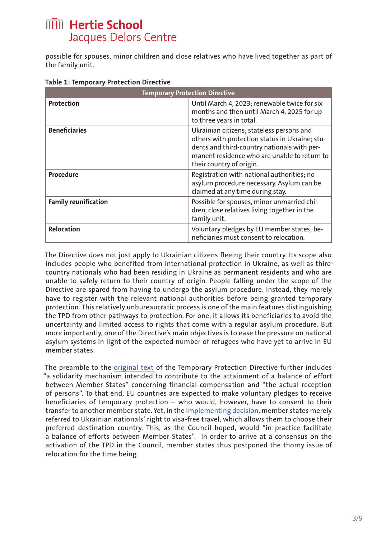possible for spouses, minor children and close relatives who have lived together as part of the family unit.

| <b>Temporary Protection Directive</b> |                                                                                                                                                                                                                        |  |
|---------------------------------------|------------------------------------------------------------------------------------------------------------------------------------------------------------------------------------------------------------------------|--|
| <b>Protection</b>                     | Until March 4, 2023; renewable twice for six<br>months and then until March 4, 2025 for up<br>to three years in total.                                                                                                 |  |
| <b>Beneficiaries</b>                  | Ukrainian citizens; stateless persons and<br>others with protection status in Ukraine; stu-<br>dents and third-country nationals with per-<br>manent residence who are unable to return to<br>their country of origin. |  |
| Procedure                             | Registration with national authorities; no<br>asylum procedure necessary. Asylum can be<br>claimed at any time during stay.                                                                                            |  |
| <b>Family reunification</b>           | Possible for spouses, minor unmarried chil-<br>dren, close relatives living together in the<br>family unit.                                                                                                            |  |
| <b>Relocation</b>                     | Voluntary pledges by EU member states; be-<br>neficiaries must consent to relocation.                                                                                                                                  |  |

The Directive does not just apply to Ukrainian citizens fleeing their country. Its scope also includes people who benefited from international protection in Ukraine, as well as thirdcountry nationals who had been residing in Ukraine as permanent residents and who are unable to safely return to their country of origin. People falling under the scope of the Directive are spared from having to undergo the asylum procedure. Instead, they merely have to register with the relevant national authorities before being granted temporary protection. This relatively unbureaucratic process is one of the main features distinguishing the TPD from other pathways to protection. For one, it allows its beneficiaries to avoid the uncertainty and limited access to rights that come with a regular asylum procedure. But more importantly, one of the Directive's main objectives is to ease the pressure on national asylum systems in light of the expected number of refugees who have yet to arrive in EU member states.

The preamble to the [original text](https://eur-lex.europa.eu/legal-content/EN/ALL/?uri=CELEX%3A32001L0055) of the Temporary Protection Directive further includes "a solidarity mechanism intended to contribute to the attainment of a balance of effort between Member States" concerning financial compensation and "the actual reception of persons". To that end, EU countries are expected to make voluntary pledges to receive beneficiaries of temporary protection – who would, however, have to consent to their transfer to another member state. Yet, in the [implementing decision](https://eur-lex.europa.eu/legal-content/EN/TXT/PDF/?uri=CELEX:32022D0382&from=EN), member states merely referred to Ukrainian nationals' right to visa-free travel, which allows them to choose their preferred destination country. This, as the Council hoped, would "in practice facilitate a balance of efforts between Member States". In order to arrive at a consensus on the activation of the TPD in the Council, member states thus postponed the thorny issue of relocation for the time being.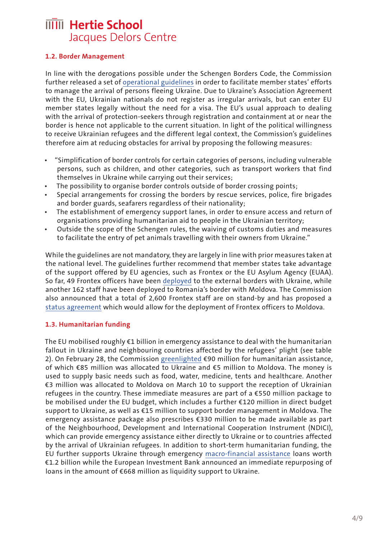#### **1.2. Border Management**

In line with the derogations possible under the Schengen Borders Code, the Commission further released a set of [operational guidelines](https://ec.europa.eu/commission/presscorner/detail/en/IP_22_1727) in order to facilitate member states' efforts to manage the arrival of persons fleeing Ukraine. Due to Ukraine's Association Agreement with the EU, Ukrainian nationals do not register as irregular arrivals, but can enter EU member states legally without the need for a visa. The EU's usual approach to dealing with the arrival of protection-seekers through registration and containment at or near the border is hence not applicable to the current situation. In light of the political willingness to receive Ukrainian refugees and the different legal context, the Commission's guidelines therefore aim at reducing obstacles for arrival by proposing the following measures:

- "Simplification of border controls for certain categories of persons, including vulnerable persons, such as children, and other categories, such as transport workers that find themselves in Ukraine while carrying out their services;
- The possibility to organise border controls outside of border crossing points;
- Special arrangements for crossing the borders by rescue services, police, fire brigades and border guards, seafarers regardless of their nationality;
- The establishment of emergency support lanes, in order to ensure access and return of organisations providing humanitarian aid to people in the Ukrainian territory;
- Outside the scope of the Schengen rules, the waiving of customs duties and measures to facilitate the entry of pet animals travelling with their owners from Ukraine."

While the guidelines are not mandatory, they are largely in line with prior measures taken at the national level. The guidelines further recommend that member states take advantage of the support offered by EU agencies, such as Frontex or the EU Asylum Agency (EUAA). So far, 49 Frontex officers have been [deployed](https://reliefweb.int/sites/reliefweb.int/files/resources/com_2022_107_1_en_act_part1_v4.pdf) to the external borders with Ukraine, while another 162 staff have been deployed to Romania's border with Moldova. The Commission also announced that a total of 2,600 Frontex staff are on stand-by and has proposed a [status agreement](https://data.consilium.europa.eu/doc/document/ST-7199-2022-INIT/de/pdf) which would allow for the deployment of Frontex officers to Moldova.

#### **1.3. Humanitarian funding**

The EU mobilised roughly €1 billion in emergency assistance to deal with the humanitarian fallout in Ukraine and neighbouring countries affected by the refugees' plight (see table 2). On February 28, the Commission [greenlighted](https://ec.europa.eu/info/strategy/priorities-2019-2024/stronger-europe-world/eu-solidarity-ukraine_en#eu-humanitarian-assistance-to-ukraine) €90 million for humanitarian assistance, of which €85 million was allocated to Ukraine and €5 million to Moldova. The money is used to supply basic needs such as food, water, medicine, tents and healthcare. Another €3 million was allocated to Moldova on March 10 to support the reception of Ukrainian refugees in the country. These immediate measures are part of a €550 million package to be mobilised under the EU budget, which includes a further €120 million in direct budget support to Ukraine, as well as €15 million to support border management in Moldova. The emergency assistance package also prescribes €330 million to be made available as part of the Neighbourhood, Development and International Cooperation Instrument (NDICI), which can provide emergency assistance either directly to Ukraine or to countries affected by the arrival of Ukrainian refugees. In addition to short-term humanitarian funding, the EU further supports Ukraine through emergency [macro-financial assistance](https://reliefweb.int/sites/reliefweb.int/files/resources/com_2022_107_1_en_act_part1_v4.pdf) loans worth €1.2 billion while the European Investment Bank announced an immediate repurposing of loans in the amount of €668 million as liquidity support to Ukraine.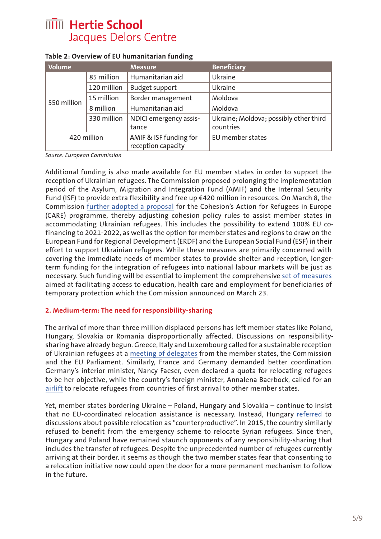| Volume      |             | <b>Measure</b>                               | <b>Beneficiary</b>                     |
|-------------|-------------|----------------------------------------------|----------------------------------------|
| 550 million | 85 million  | Humanitarian aid                             | Ukraine                                |
|             | 120 million | <b>Budget support</b>                        | Ukraine                                |
|             | 15 million  | Border management                            | Moldova                                |
|             | 8 million   | Humanitarian aid                             | Moldova                                |
|             | 330 million | NDICI emergency assis-                       | Ukraine; Moldova; possibly other third |
|             |             | tance                                        | countries                              |
|             | 420 million | AMIF & ISF funding for<br>reception capacity | EU member states                       |

#### **Table 2: Overview of EU humanitarian funding**

*Source: European Commission*

Additional funding is also made available for EU member states in order to support the reception of Ukrainian refugees. The Commission proposed prolonging the implementation period of the Asylum, Migration and Integration Fund (AMIF) and the Internal Security Fund (ISF) to provide extra flexibility and free up €420 million in resources. On March 8, the Commission [further adopted a proposal](https://ec.europa.eu/commission/presscorner/detail/en/ip_22_1607) for the Cohesion's Action for Refugees in Europe (CARE) programme, thereby adjusting cohesion policy rules to assist member states in accommodating Ukrainian refugees. This includes the possibility to extend 100% EU cofinancing to 2021-2022, as well as the option for member states and regions to draw on the European Fund for Regional Development (ERDF) and the European Social Fund (ESF) in their effort to support Ukrainian refugees. While these measures are primarily concerned with covering the immediate needs of member states to provide shelter and reception, longerterm funding for the integration of refugees into national labour markets will be just as necessary. Such funding will be essential to implement the comprehensive [set of measures](https://www.politico.eu/newsletter/brussels-playbook/rights-for-refugees-energy-dependence-debate-parliaments-bid-for-budget-boost/)  aimed at facilitating access to education, health care and employment for beneficiaries of temporary protection which the Commission announced on March 23.

#### **2. Medium-term: The need for responsibility-sharing**

The arrival of more than three million displaced persons has left member states like Poland, Hungary, Slovakia or Romania disproportionally affected. Discussions on responsibilitysharing have already begun. Greece, Italy and Luxembourg called for a sustainable reception of Ukrainian refugees at a [meeting of delegates](https://www.spiegel.de/politik/deutschland/ukraine-krieg-eu-droht-neuer-streit-ueber-fluechtlingsquoten-a-719bdf22-619a-431a-a152-25d1b8ba8935?sara_ecid=soci_upd_wbMbjhOSvViISjc8RPU89NcCvtlFcJ) from the member states, the Commission and the EU Parliament. Similarly, France and Germany demanded better coordination. Germany's interior minister, Nancy Faeser, even declared a quota for relocating refugees to be her objective, while the country's foreign minister, Annalena Baerbock, called for an [airlift](https://twitter.com/germanyintheeu/status/1505851644793298945) to relocate refugees from countries of first arrival to other member states.

Yet, member states bordering Ukraine – Poland, Hungary and Slovakia – continue to insist that no EU-coordinated relocation assistance is necessary. Instead, Hungary [referred](https://www.spiegel.de/politik/deutschland/ukraine-krieg-eu-droht-neuer-streit-ueber-fluechtlingsquoten-a-719bdf22-619a-431a-a152-25d1b8ba8935?sara_ecid=soci_upd_wbMbjhOSvViISjc8RPU89NcCvtlFcJ) to discussions about possible relocation as "counterproductive". In 2015, the country similarly refused to benefit from the emergency scheme to relocate Syrian refugees. Since then, Hungary and Poland have remained staunch opponents of any responsibility-sharing that includes the transfer of refugees. Despite the unprecedented number of refugees currently arriving at their border, it seems as though the two member states fear that consenting to a relocation initiative now could open the door for a more permanent mechanism to follow in the future.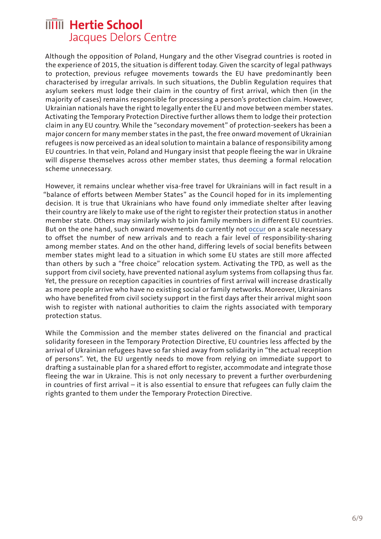Although the opposition of Poland, Hungary and the other Visegrad countries is rooted in the experience of 2015, the situation is different today. Given the scarcity of legal pathways to protection, previous refugee movements towards the EU have predominantly been characterised by irregular arrivals. In such situations, the Dublin Regulation requires that asylum seekers must lodge their claim in the country of first arrival, which then (in the majority of cases) remains responsible for processing a person's protection claim. However, Ukrainian nationals have the right to legally enter the EU and move between member states. Activating the Temporary Protection Directive further allows them to lodge their protection claim in any EU country. While the "secondary movement" of protection-seekers has been a major concern for many member states in the past, the free onward movement of Ukrainian refugees is now perceived as an ideal solution to maintain a balance of responsibility among EU countries. In that vein, Poland and Hungary insist that people fleeing the war in Ukraine will disperse themselves across other member states, thus deeming a formal relocation scheme unnecessary.

However, it remains unclear whether visa-free travel for Ukrainians will in fact result in a "balance of efforts between Member States" as the Council hoped for in its implementing decision. It is true that Ukrainians who have found only immediate shelter after leaving their country are likely to make use of the right to register their protection status in another member state. Others may similarly wish to join family members in different EU countries. But on the one hand, such onward movements do currently not [occur](https://www.epc.eu/en/publications/Unseen-unity-in-the-EUs-migration-policies-but-how-long-will-it-last~46fbe0) on a scale necessary to offset the number of new arrivals and to reach a fair level of responsibility-sharing among member states. And on the other hand, differing levels of social benefits between member states might lead to a situation in which some EU states are still more affected than others by such a "free choice" relocation system. Activating the TPD, as well as the support from civil society, have prevented national asylum systems from collapsing thus far. Yet, the pressure on reception capacities in countries of first arrival will increase drastically as more people arrive who have no existing social or family networks. Moreover, Ukrainians who have benefited from civil society support in the first days after their arrival might soon wish to register with national authorities to claim the rights associated with temporary protection status.

While the Commission and the member states delivered on the financial and practical solidarity foreseen in the Temporary Protection Directive, EU countries less affected by the arrival of Ukrainian refugees have so far shied away from solidarity in "the actual reception of persons". Yet, the EU urgently needs to move from relying on immediate support to drafting a sustainable plan for a shared effort to register, accommodate and integrate those fleeing the war in Ukraine. This is not only necessary to prevent a further overburdening in countries of first arrival – it is also essential to ensure that refugees can fully claim the rights granted to them under the Temporary Protection Directive.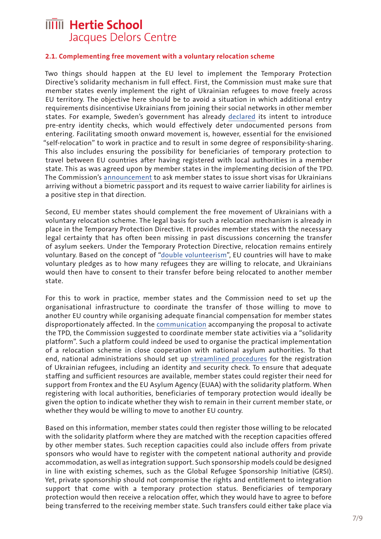#### **2.1. Complementing free movement with a voluntary relocation scheme**

Two things should happen at the EU level to implement the Temporary Protection Directive's solidarity mechanism in full effect. First, the Commission must make sure that member states evenly implement the right of Ukrainian refugees to move freely across EU territory. The objective here should be to avoid a situation in which additional entry requirements disincentivise Ukrainians from joining their social networks in other member states. For example, Sweden's government has already [declared](https://www.government.se/press-releases/2022/03/government-proposes-possibility-of-reintroducing-id-checks-on-buses-trains-and-passenger-ships/) its intent to introduce pre-entry identity checks, which would effectively deter undocumented persons from entering. Facilitating smooth onward movement is, however, essential for the envisioned "self-relocation" to work in practice and to result in some degree of responsibility-sharing. This also includes ensuring the possibility for beneficiaries of temporary protection to travel between EU countries after having registered with local authorities in a member state. This as was agreed upon by member states in the implementing decision of the TPD. The Commission's [announcement](https://www.politico.eu/newsletter/brussels-playbook/rights-for-refugees-energy-dependence-debate-parliaments-bid-for-budget-boost/) to ask member states to issue short visas for Ukrainians arriving without a biometric passport and its request to waive carrier liability for airlines is a positive step in that direction.

Second, EU member states should complement the free movement of Ukrainians with a voluntary relocation scheme. The legal basis for such a relocation mechanism is already in place in the Temporary Protection Directive. It provides member states with the necessary legal certainty that has often been missing in past discussions concerning the transfer of asylum seekers. Under the Temporary Protection Directive, relocation remains entirely voluntary. Based on the concept of "[double volunteerism](https://ec.europa.eu/home-affairs/system/files/2020-09/executive_summary_evaluation_tpd_en.pdf)", EU countries will have to make voluntary pledges as to how many refugees they are willing to relocate, and Ukrainians would then have to consent to their transfer before being relocated to another member state.

For this to work in practice, member states and the Commission need to set up the organisational infrastructure to coordinate the transfer of those willing to move to another EU country while organising adequate financial compensation for member states disproportionately affected. In the [communication](https://ec.europa.eu/commission/presscorner/detail/en/ip_22_1610) accompanying the proposal to activate the TPD, the Commission suggested to coordinate member state activities via a "solidarity platform". Such a platform could indeed be used to organise the practical implementation of a relocation scheme in close cooperation with national asylum authorities. To that end, national administrations should set up [streamlined procedures](https://www.latimes.com/opinion/story/2022-03-08/ukraine-russia-refugees-europe-eu-asylum) for the registration of Ukrainian refugees, including an identity and security check. To ensure that adequate staffing and sufficient resources are available, member states could register their need for support from Frontex and the EU Asylum Agency (EUAA) with the solidarity platform. When registering with local authorities, beneficiaries of temporary protection would ideally be given the option to indicate whether they wish to remain in their current member state, or whether they would be willing to move to another EU country.

Based on this information, member states could then register those willing to be relocated with the solidarity platform where they are matched with the reception capacities offered by other member states. Such reception capacities could also include offers from private sponsors who would have to register with the competent national authority and provide accommodation, as well as integration support. Such sponsorship models could be designed in line with existing schemes, such as the Global Refugee Sponsorship Initiative (GRSI). Yet, private sponsorship should not compromise the rights and entitlement to integration support that come with a temporary protection status. Beneficiaries of temporary protection would then receive a relocation offer, which they would have to agree to before being transferred to the receiving member state. Such transfers could either take place via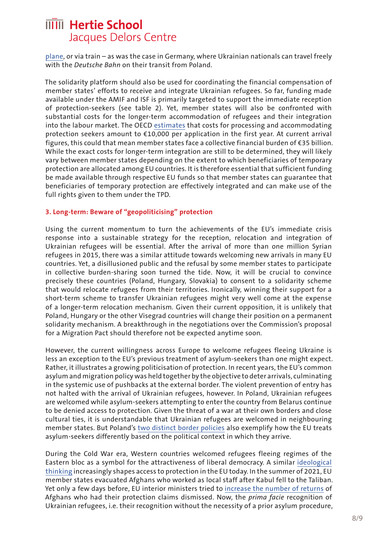[plane,](https://www.zeit.de/politik/ausland/2022-03/ukraine-fluechtlinge-russlands-angriffsplan-eu-luftbruecke) or via train – as was the case in Germany, where Ukrainian nationals can travel freely with the *Deutsche Bahn* on their transit from Poland.

The solidarity platform should also be used for coordinating the financial compensation of member states' efforts to receive and integrate Ukrainian refugees. So far, funding made available under the AMIF and ISF is primarily targeted to support the immediate reception of protection-seekers (see table 2). Yet, member states will also be confronted with substantial costs for the longer-term accommodation of refugees and their integration into the labour market. The OECD [estimates](https://www.oecd.org/els/mig/migration-policy-debates-13.pdf) that costs for processing and accommodating protection seekers amount to €10,000 per application in the first year. At current arrival figures, this could that mean member states face a collective financial burden of €35 billion. While the exact costs for longer-term integration are still to be determined, they will likely vary between member states depending on the extent to which beneficiaries of temporary protection are allocated among EU countries. It is therefore essential that sufficient funding be made available through respective EU funds so that member states can guarantee that beneficiaries of temporary protection are effectively integrated and can make use of the full rights given to them under the TPD.

#### **3. Long-term: Beware of "geopoliticising" protection**

Using the current momentum to turn the achievements of the EU's immediate crisis response into a sustainable strategy for the reception, relocation and integration of Ukrainian refugees will be essential. After the arrival of more than one million Syrian refugees in 2015, there was a similar attitude towards welcoming new arrivals in many EU countries. Yet, a disillusioned public and the refusal by some member states to participate in collective burden-sharing soon turned the tide. Now, it will be crucial to convince precisely these countries (Poland, Hungary, Slovakia) to consent to a solidarity scheme that would relocate refugees from their territories. Ironically, winning their support for a short-term scheme to transfer Ukrainian refugees might very well come at the expense of a longer-term relocation mechanism. Given their current opposition, it is unlikely that Poland, Hungary or the other Visegrad countries will change their position on a permanent solidarity mechanism. A breakthrough in the negotiations over the Commission's proposal for a Migration Pact should therefore not be expected anytime soon.

However, the current willingness across Europe to welcome refugees fleeing Ukraine is less an exception to the EU's previous treatment of asylum-seekers than one might expect. Rather, it illustrates a growing politicisation of protection. In recent years, the EU's common asylum and migration policy was held together by the objective to deter arrivals, culminating in the systemic use of pushbacks at the external border. The violent prevention of entry has not halted with the arrival of Ukrainian refugees, however. In Poland, Ukrainian refugees are welcomed while asylum-seekers attempting to enter the country from Belarus continue to be denied access to protection. Given the threat of a war at their own borders and close cultural ties, it is understandable that Ukrainian refugees are welcomed in neighbouring member states. But Poland's [two distinct border policies](https://verfassungsblog.de/a-tale-of-two-borders/) also exemplify how the EU treats asylum-seekers differently based on the political context in which they arrive.

During the Cold War era, Western countries welcomed refugees fleeing regimes of the Eastern bloc as a symbol for the attractiveness of liberal democracy. A similar [ideological](https://blog.fluchtforschung.net/ruckkehr-zur-fluchtlingspolitik-des-kalten-krieges-vom-universalen-schutz-zur-re-politisierung/)  [thinking](https://blog.fluchtforschung.net/ruckkehr-zur-fluchtlingspolitik-des-kalten-krieges-vom-universalen-schutz-zur-re-politisierung/) increasingly shapes access to protection in the EU today. In the summer of 2021, EU member states evacuated Afghans who worked as local staff after Kabul fell to the Taliban. Yet only a few days before, EU interior ministers tried to [increase the number of returns](https://fragdenstaat.de/dokumente/118268-returns-to-afghanistan/) of Afghans who had their protection claims dismissed. Now, the *prima facie* recognition of Ukrainian refugees, i.e. their recognition without the necessity of a prior asylum procedure,